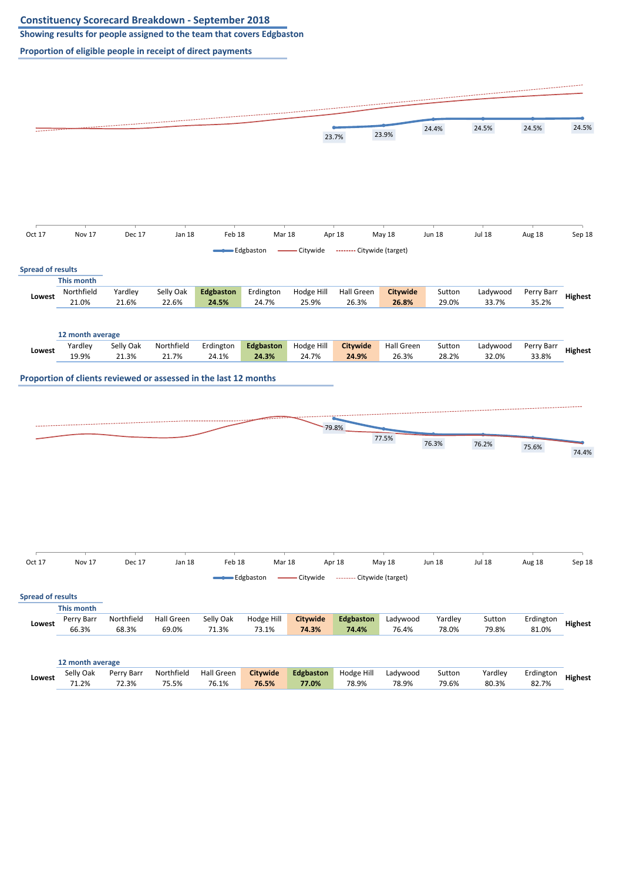**Showing results for people assigned to the team that covers Edgbaston**

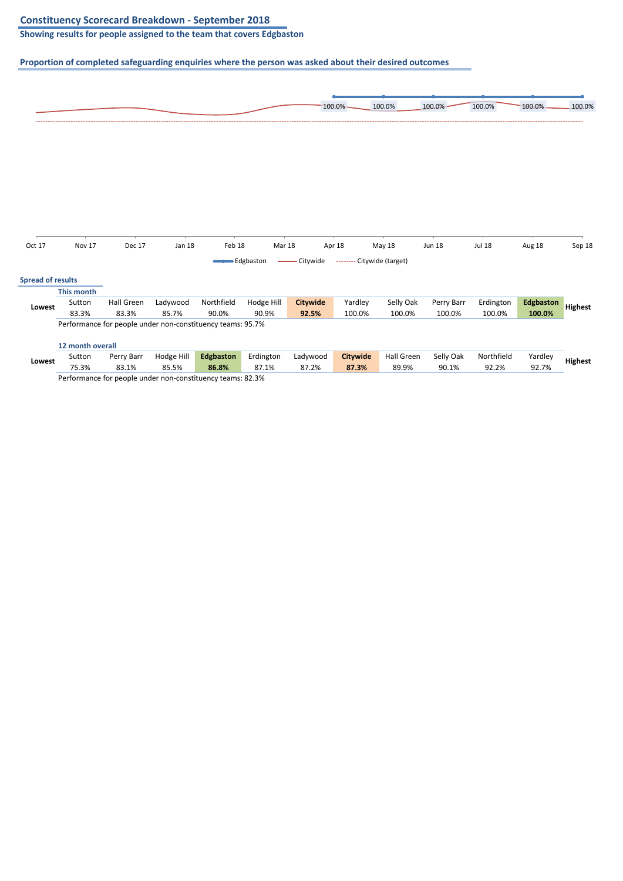**Showing results for people assigned to the team that covers Edgbaston**

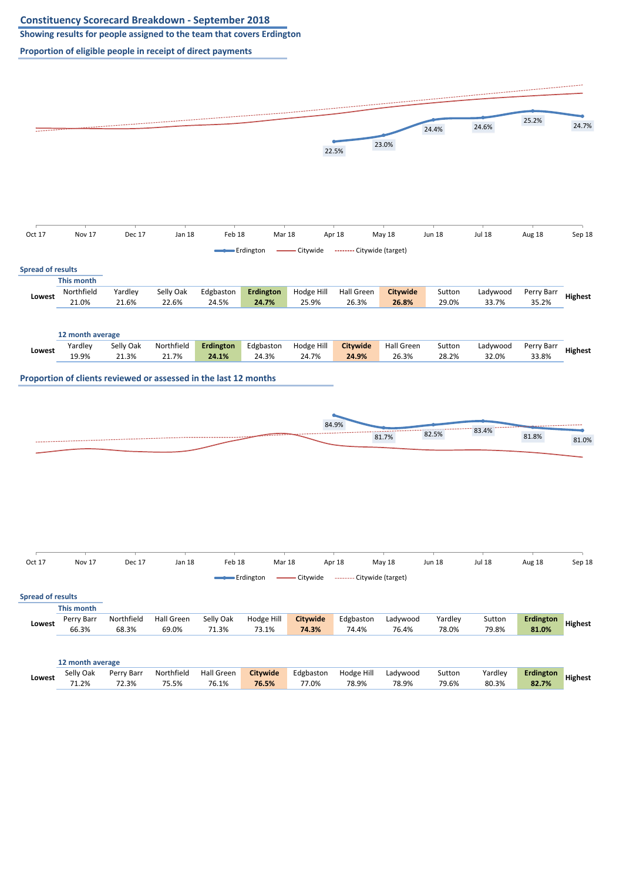**Showing results for people assigned to the team that covers Erdington**

![](_page_2_Figure_3.jpeg)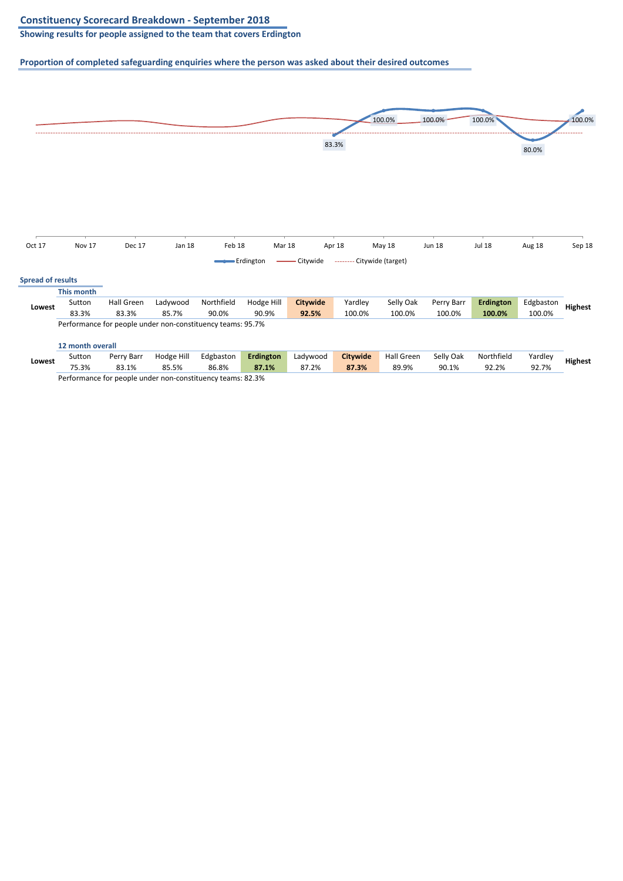**Showing results for people assigned to the team that covers Erdington**

![](_page_3_Figure_3.jpeg)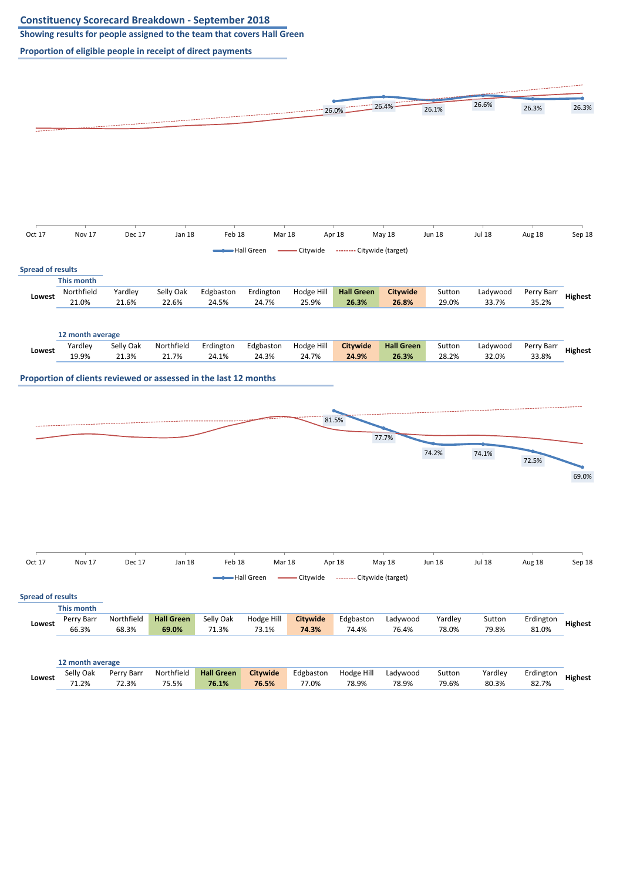**Showing results for people assigned to the team that covers Hall Green**

![](_page_4_Figure_3.jpeg)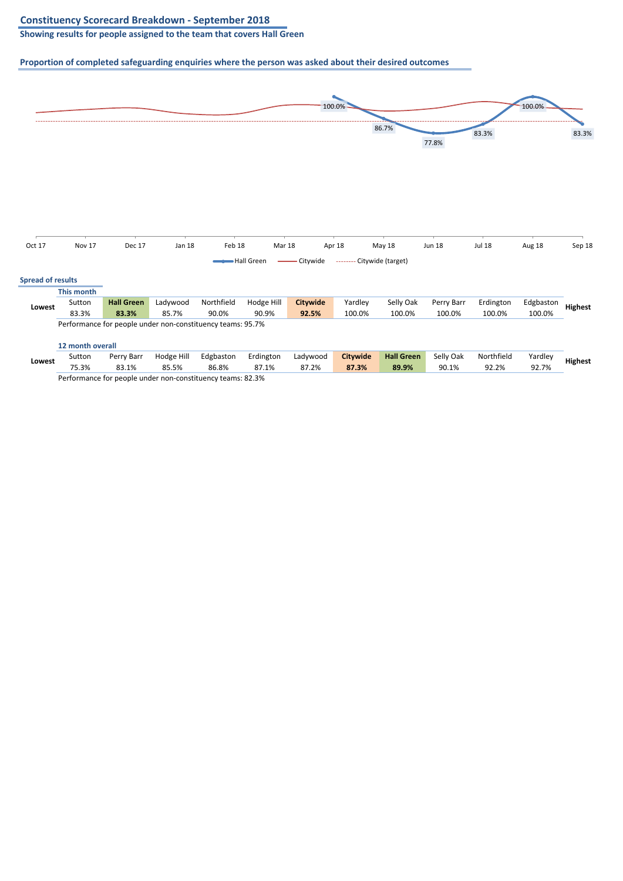**Showing results for people assigned to the team that covers Hall Green**

![](_page_5_Figure_3.jpeg)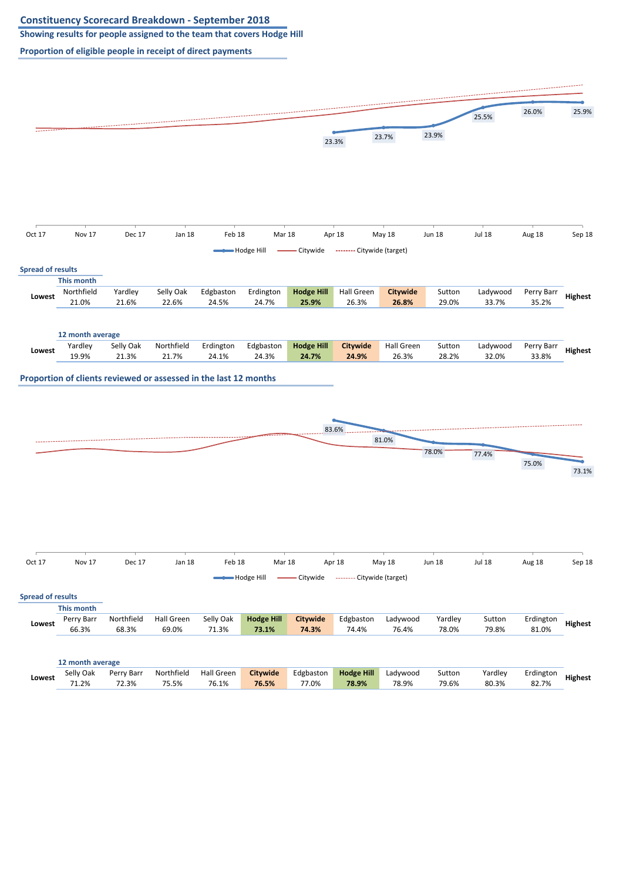**Showing results for people assigned to the team that covers Hodge Hill**

![](_page_6_Figure_3.jpeg)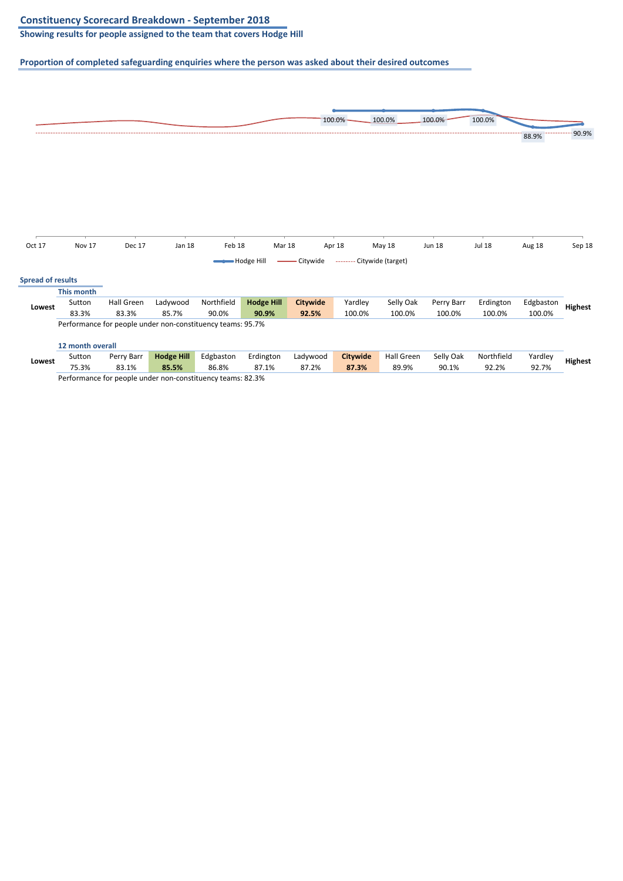**Showing results for people assigned to the team that covers Hodge Hill**

![](_page_7_Figure_3.jpeg)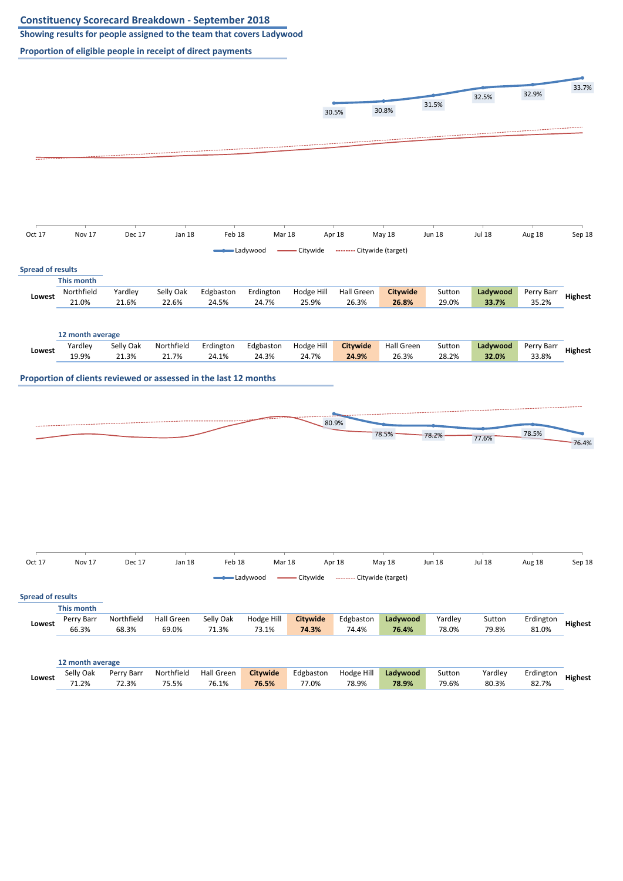**Showing results for people assigned to the team that covers Ladywood**

![](_page_8_Figure_3.jpeg)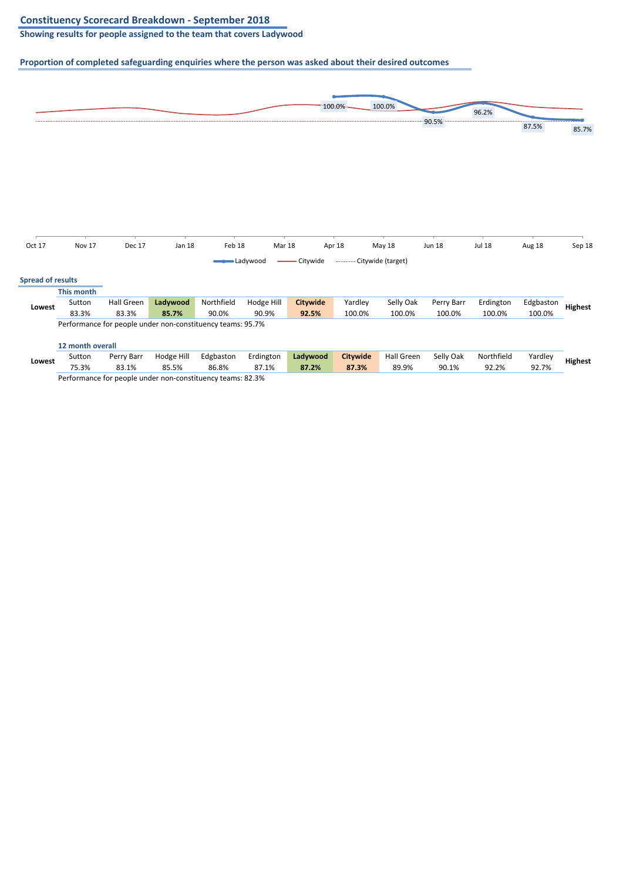**Showing results for people assigned to the team that covers Ladywood**

![](_page_9_Figure_3.jpeg)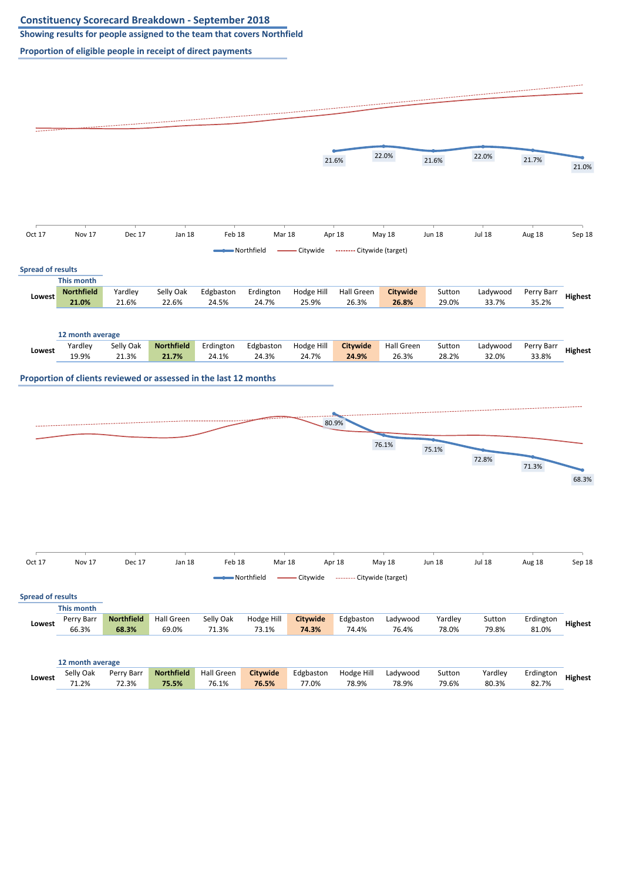**Showing results for people assigned to the team that covers Northfield**

![](_page_10_Figure_3.jpeg)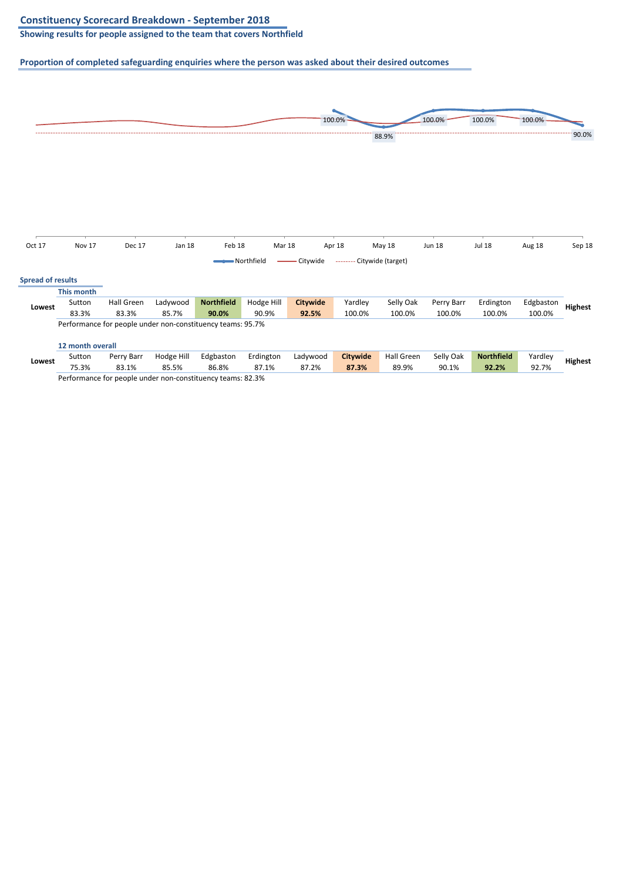**Showing results for people assigned to the team that covers Northfield**

![](_page_11_Figure_3.jpeg)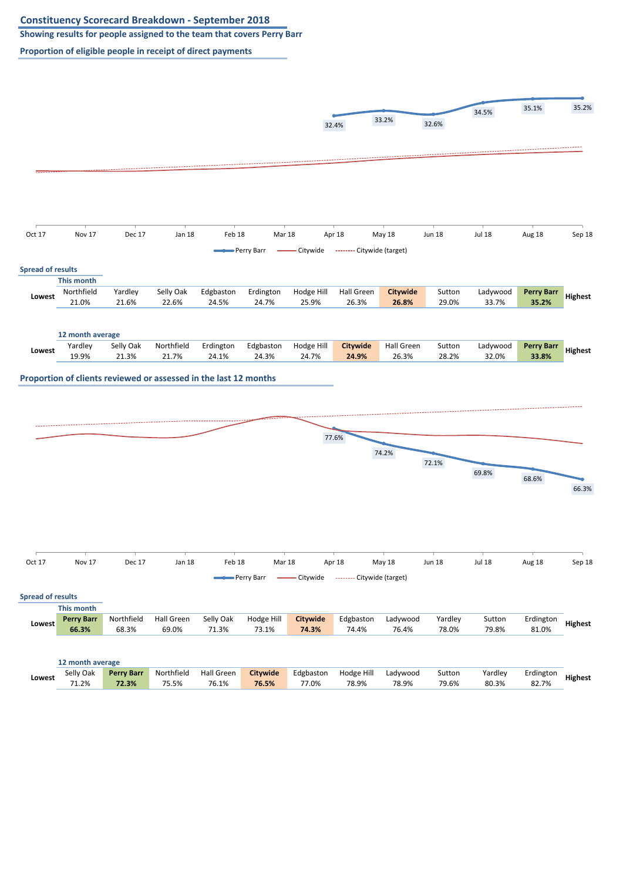**Showing results for people assigned to the team that covers Perry Barr**

![](_page_12_Figure_3.jpeg)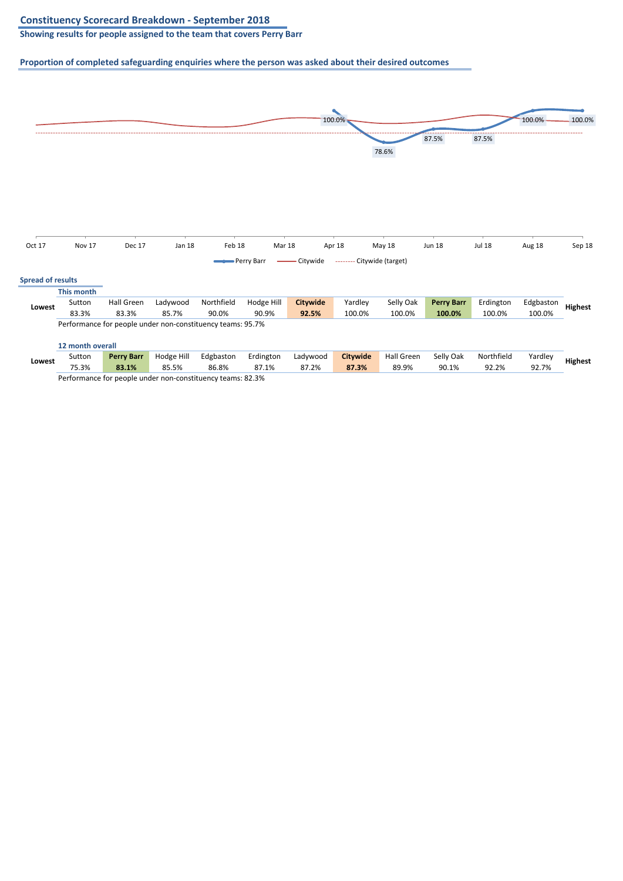**Showing results for people assigned to the team that covers Perry Barr**

![](_page_13_Figure_3.jpeg)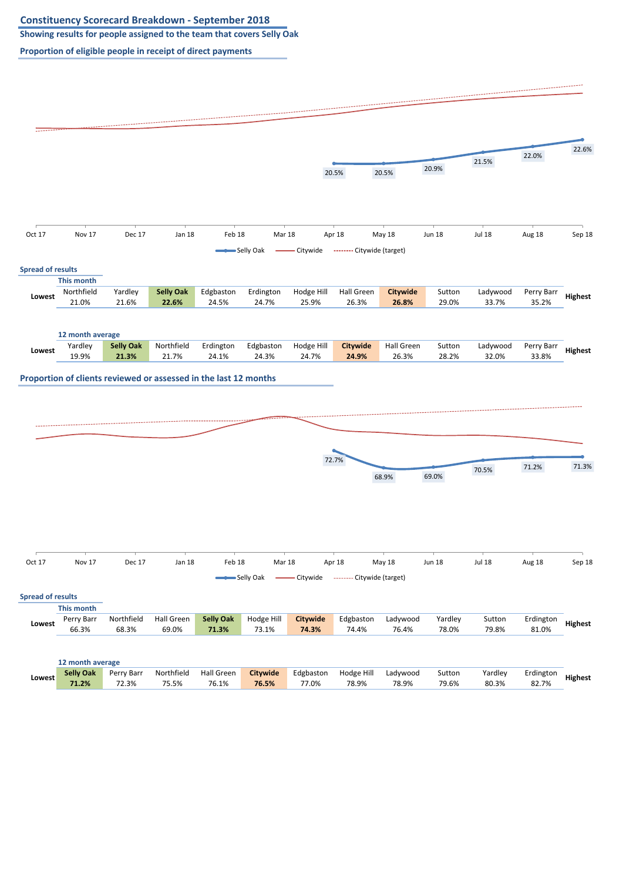**Showing results for people assigned to the team that covers Selly Oak**

![](_page_14_Figure_3.jpeg)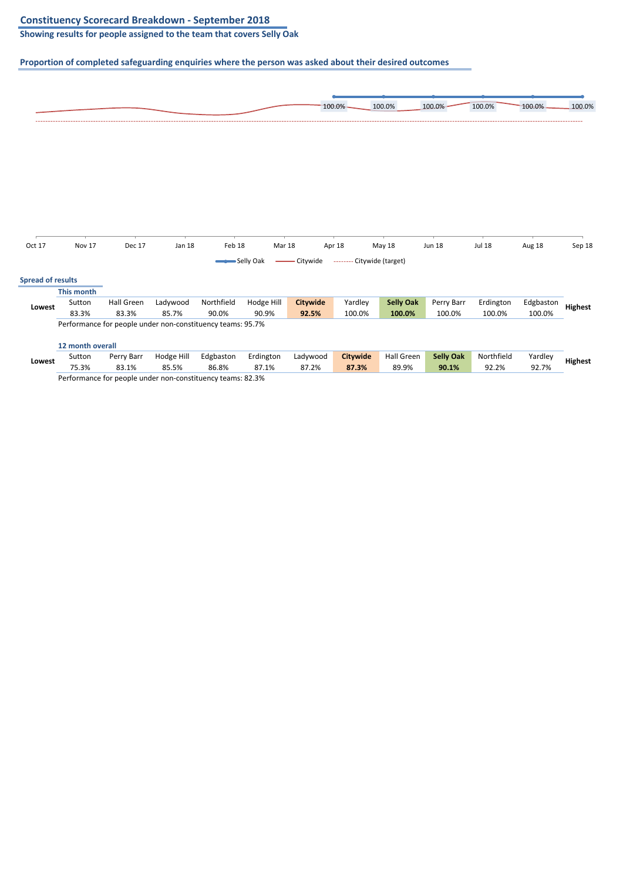**Showing results for people assigned to the team that covers Selly Oak**

![](_page_15_Figure_3.jpeg)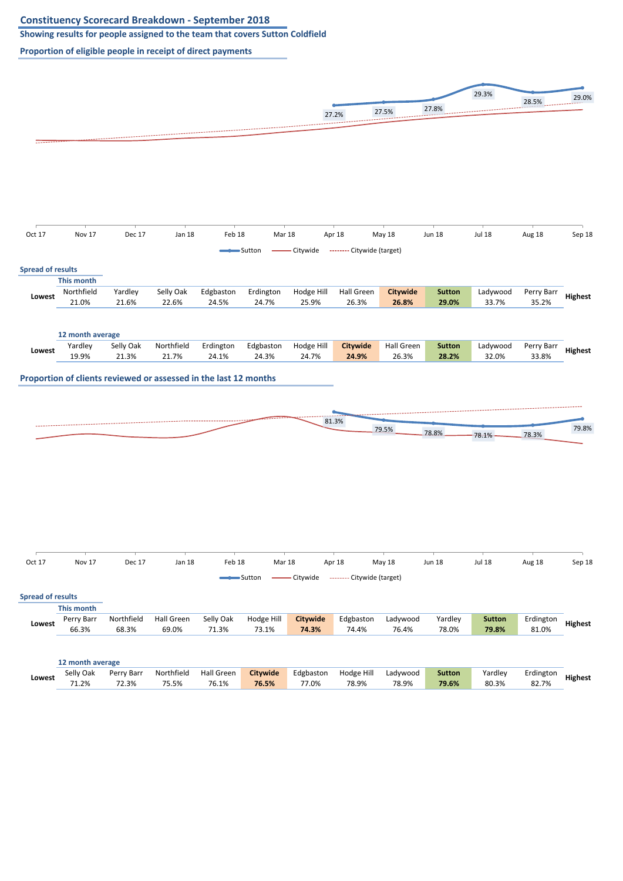**Showing results for people assigned to the team that covers Sutton Coldfield**

![](_page_16_Figure_3.jpeg)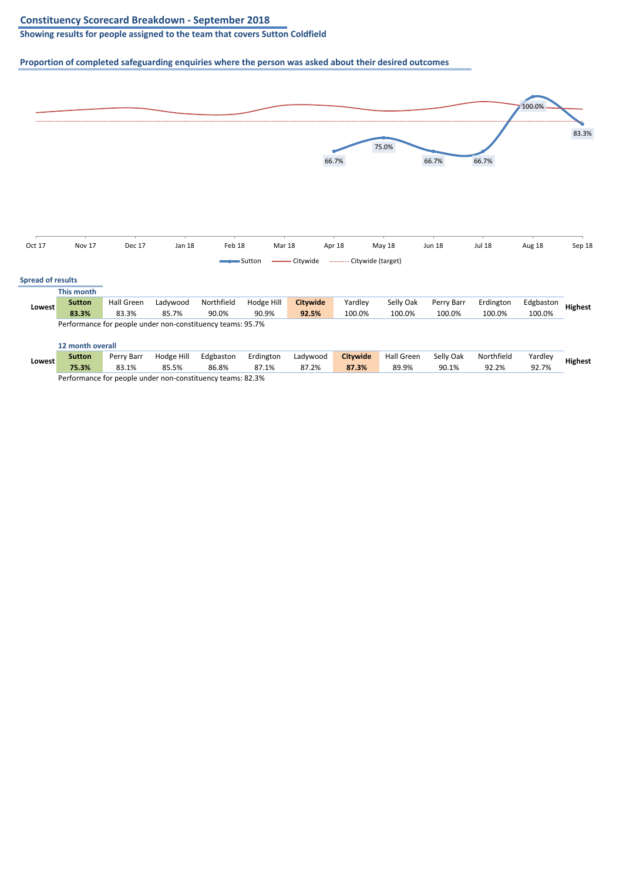**Showing results for people assigned to the team that covers Sutton Coldfield**

![](_page_17_Figure_3.jpeg)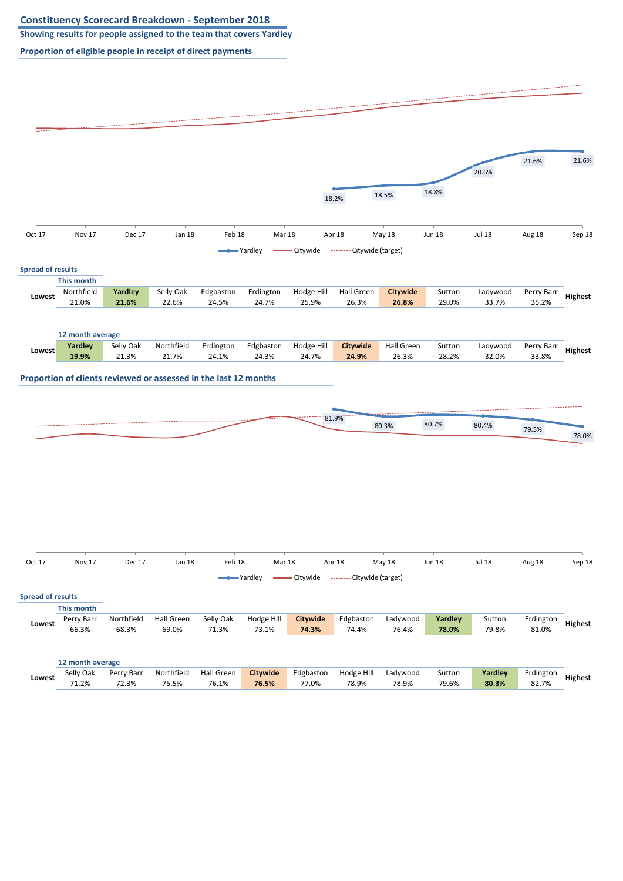**Showing results for people assigned to the team that covers Yardley**

![](_page_18_Figure_3.jpeg)